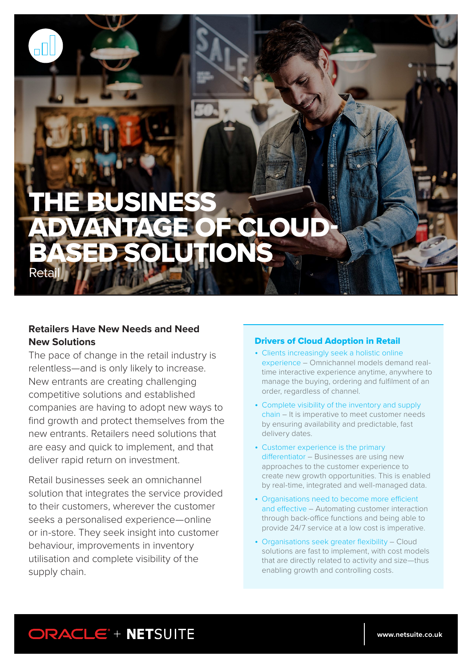# **BUSINESS PCLOUD** BASED SOLUTIONS Retail

## **Retailers Have New Needs and Need New Solutions**

The pace of change in the retail industry is relentless—and is only likely to increase. New entrants are creating challenging competitive solutions and established companies are having to adopt new ways to find growth and protect themselves from the new entrants. Retailers need solutions that are easy and quick to implement, and that deliver rapid return on investment.

Retail businesses seek an omnichannel solution that integrates the service provided to their customers, wherever the customer seeks a personalised experience—online or in-store. They seek insight into customer behaviour, improvements in inventory utilisation and complete visibility of the supply chain.

### Drivers of Cloud Adoption in Retail

- Clients increasingly seek a holistic online experience – Omnichannel models demand realtime interactive experience anytime, anywhere to manage the buying, ordering and fulfilment of an order, regardless of channel.
- Complete visibility of the inventory and supply chain – It is imperative to meet customer needs by ensuring availability and predictable, fast delivery dates.
- Customer experience is the primary differentiator – Businesses are using new approaches to the customer experience to create new growth opportunities. This is enabled by real-time, integrated and well-managed data.
- Organisations need to become more efficient and effective – Automating customer interaction through back-office functions and being able to provide 24/7 service at a low cost is imperative.
- Organisations seek greater flexibility Cloud solutions are fast to implement, with cost models that are directly related to activity and size—thus enabling growth and controlling costs.

# ORACLE<sup>\*</sup> + NETSUITE